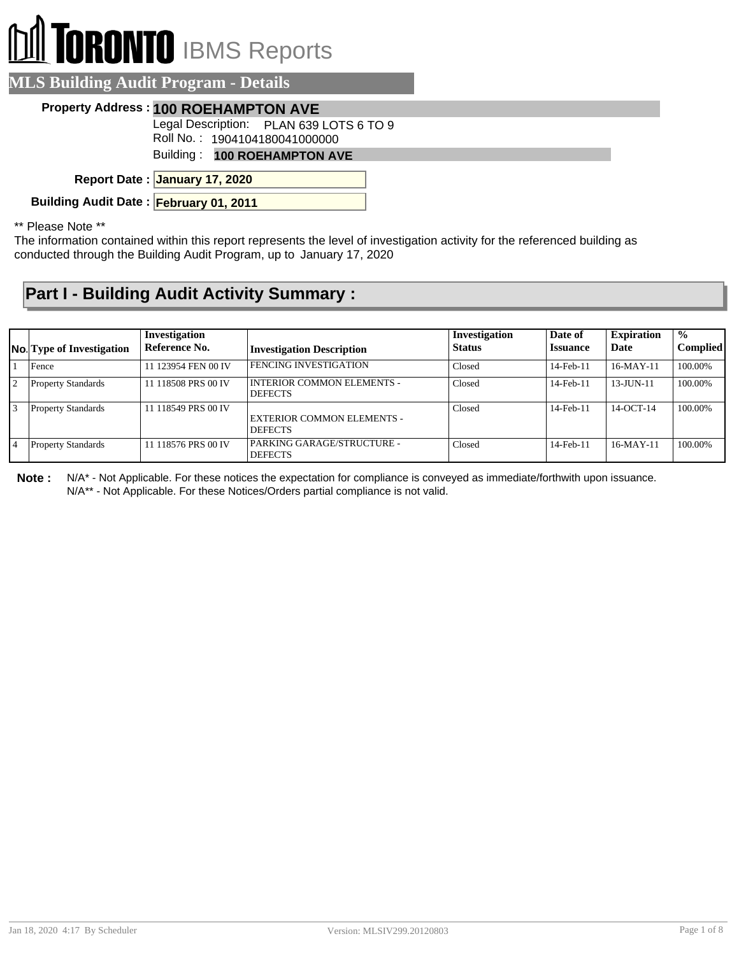## **TORONTO** IBMS Reports

| <b>MLS Building Audit Program - Details</b> |                                                                                        |
|---------------------------------------------|----------------------------------------------------------------------------------------|
|                                             | <b>Property Address: 100 ROEHAMPTON AVE</b><br>Legal Description: PLAN 639 LOTS 6 TO 9 |
|                                             | Roll No.: 1904104180041000000<br>Building: 100 ROEHAMPTON AVE                          |
|                                             | Report Date: January 17, 2020                                                          |
| Building Audit Date: February 01, 2011      |                                                                                        |

\*\* Please Note \*\*

The information contained within this report represents the level of investigation activity for the referenced building as conducted through the Building Audit Program, up to January 17, 2020

## **Part I - Building Audit Activity Summary :**

|     | No. Type of Investigation | Investigation<br>Reference No. | <b>Investigation Description</b>                    | <b>Investigation</b><br><b>Status</b> | Date of<br><i><b>Issuance</b></i> | <b>Expiration</b><br>Date | $\frac{0}{0}$<br><b>Complied</b> |
|-----|---------------------------|--------------------------------|-----------------------------------------------------|---------------------------------------|-----------------------------------|---------------------------|----------------------------------|
|     | Fence                     | 11 123954 FEN 00 IV            | <b>FENCING INVESTIGATION</b>                        | Closed                                | $14$ -Feb- $11$                   | $16-MAY-11$               | 100.00%                          |
| 12  | <b>Property Standards</b> | 11 118508 PRS 00 IV            | <b>INTERIOR COMMON ELEMENTS -</b><br><b>DEFECTS</b> | Closed                                | 14-Feb-11                         | $13 - J$ UN $-11$         | 100.00%                          |
| I٩  | <b>Property Standards</b> | 11 118549 PRS 00 IV            | EXTERIOR COMMON ELEMENTS -<br><b>DEFECTS</b>        | Closed                                | 14-Feb-11                         | 14-OCT-14                 | 100.00%                          |
| l 4 | <b>Property Standards</b> | 11 118576 PRS 00 IV            | PARKING GARAGE/STRUCTURE -<br><b>DEFECTS</b>        | Closed                                | 14-Feb-11                         | $16-MAY-11$               | 100.00%                          |

**Note :** N/A\* - Not Applicable. For these notices the expectation for compliance is conveyed as immediate/forthwith upon issuance. N/A\*\* - Not Applicable. For these Notices/Orders partial compliance is not valid.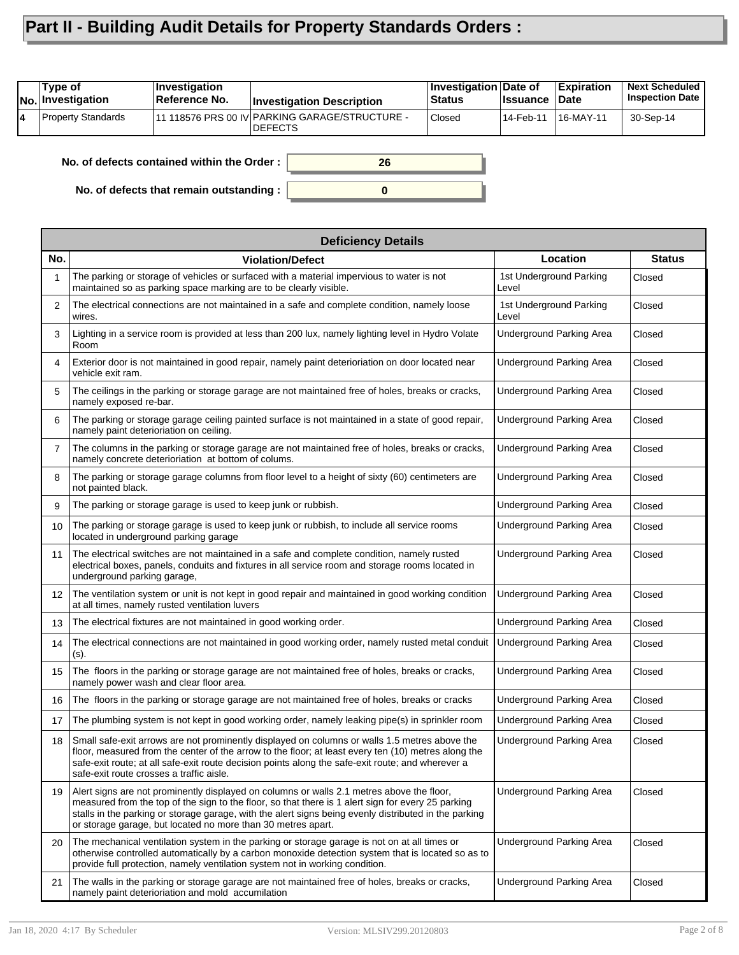## **Part II - Building Audit Details for Property Standards Orders :**

|    | Type of<br><b>INo. Investigation</b> | Investigation<br>Reference No. | <b>Investigation Description</b>                           | <b>Investigation Date of</b><br><b>Status</b> | <b>Issuance</b> | <b>Expiration</b><br>∣Date | <b>Next Scheduled</b><br><b>Inspection Date</b> |
|----|--------------------------------------|--------------------------------|------------------------------------------------------------|-----------------------------------------------|-----------------|----------------------------|-------------------------------------------------|
| 14 | <b>Property Standards</b>            |                                | 11 118576 PRS 00 IV PARKING GARAGE/STRUCTURE -<br>IDEFECTS | <b>Closed</b>                                 | 14-Feb-11       | 16-MAY-11                  | 30-Sep-14                                       |

**0**

**26**

**No. of defects contained within the Order :**

**No. of defects that remain outstanding :**

|                   | <b>Deficiency Details</b>                                                                                                                                                                                                                                                                                                                                                |                                  |               |
|-------------------|--------------------------------------------------------------------------------------------------------------------------------------------------------------------------------------------------------------------------------------------------------------------------------------------------------------------------------------------------------------------------|----------------------------------|---------------|
| No.               | <b>Violation/Defect</b>                                                                                                                                                                                                                                                                                                                                                  | Location                         | <b>Status</b> |
| 1                 | The parking or storage of vehicles or surfaced with a material impervious to water is not<br>maintained so as parking space marking are to be clearly visible.                                                                                                                                                                                                           | 1st Underground Parking<br>Level | Closed        |
| $\overline{2}$    | The electrical connections are not maintained in a safe and complete condition, namely loose<br>wires.                                                                                                                                                                                                                                                                   | 1st Underground Parking<br>Level | Closed        |
| 3                 | Lighting in a service room is provided at less than 200 lux, namely lighting level in Hydro Volate<br>Room                                                                                                                                                                                                                                                               | Underground Parking Area         | Closed        |
| 4                 | Exterior door is not maintained in good repair, namely paint deterioriation on door located near<br>vehicle exit ram.                                                                                                                                                                                                                                                    | <b>Underground Parking Area</b>  | Closed        |
| 5                 | The ceilings in the parking or storage garage are not maintained free of holes, breaks or cracks,<br>namely exposed re-bar.                                                                                                                                                                                                                                              | <b>Underground Parking Area</b>  | Closed        |
| 6                 | The parking or storage garage ceiling painted surface is not maintained in a state of good repair,<br>namely paint deterioriation on ceiling.                                                                                                                                                                                                                            | Underground Parking Area         | Closed        |
| $\overline{7}$    | The columns in the parking or storage garage are not maintained free of holes, breaks or cracks,<br>namely concrete deterioriation at bottom of colums.                                                                                                                                                                                                                  | <b>Underground Parking Area</b>  | Closed        |
| 8                 | The parking or storage garage columns from floor level to a height of sixty (60) centimeters are<br>not painted black.                                                                                                                                                                                                                                                   | Underground Parking Area         | Closed        |
| 9                 | The parking or storage garage is used to keep junk or rubbish.                                                                                                                                                                                                                                                                                                           | <b>Underground Parking Area</b>  | Closed        |
| 10                | The parking or storage garage is used to keep junk or rubbish, to include all service rooms<br>located in underground parking garage                                                                                                                                                                                                                                     | Underground Parking Area         | Closed        |
| 11                | The electrical switches are not maintained in a safe and complete condition, namely rusted<br>electrical boxes, panels, conduits and fixtures in all service room and storage rooms located in<br>underground parking garage,                                                                                                                                            | <b>Underground Parking Area</b>  | Closed        |
| $12 \overline{ }$ | The ventilation system or unit is not kept in good repair and maintained in good working condition<br>at all times, namely rusted ventilation luvers                                                                                                                                                                                                                     | Underground Parking Area         | Closed        |
| 13                | The electrical fixtures are not maintained in good working order.                                                                                                                                                                                                                                                                                                        | <b>Underground Parking Area</b>  | Closed        |
| 14                | The electrical connections are not maintained in good working order, namely rusted metal conduit<br>(s).                                                                                                                                                                                                                                                                 | <b>Underground Parking Area</b>  | Closed        |
| 15                | The floors in the parking or storage garage are not maintained free of holes, breaks or cracks,<br>namely power wash and clear floor area.                                                                                                                                                                                                                               | <b>Underground Parking Area</b>  | Closed        |
| 16                | The floors in the parking or storage garage are not maintained free of holes, breaks or cracks                                                                                                                                                                                                                                                                           | <b>Underground Parking Area</b>  | Closed        |
| 17                | The plumbing system is not kept in good working order, namely leaking pipe(s) in sprinkler room                                                                                                                                                                                                                                                                          | Underground Parking Area         | Closed        |
| 18                | Small safe-exit arrows are not prominently displayed on columns or walls 1.5 metres above the<br>floor, measured from the center of the arrow to the floor; at least every ten (10) metres along the<br>safe-exit route; at all safe-exit route decision points along the safe-exit route; and wherever a<br>safe-exit route crosses a traffic aisle.                    | <b>Underground Parking Area</b>  | Closed        |
| 19                | Alert signs are not prominently displayed on columns or walls 2.1 metres above the floor,<br>measured from the top of the sign to the floor, so that there is 1 alert sign for every 25 parking<br>stalls in the parking or storage garage, with the alert signs being evenly distributed in the parking<br>or storage garage, but located no more than 30 metres apart. | <b>Underground Parking Area</b>  | Closed        |
| 20                | The mechanical ventilation system in the parking or storage garage is not on at all times or<br>otherwise controlled automatically by a carbon monoxide detection system that is located so as to<br>provide full protection, namely ventilation system not in working condition.                                                                                        | <b>Underground Parking Area</b>  | Closed        |
| 21                | The walls in the parking or storage garage are not maintained free of holes, breaks or cracks,<br>namely paint deterioriation and mold accumilation                                                                                                                                                                                                                      | <b>Underground Parking Area</b>  | Closed        |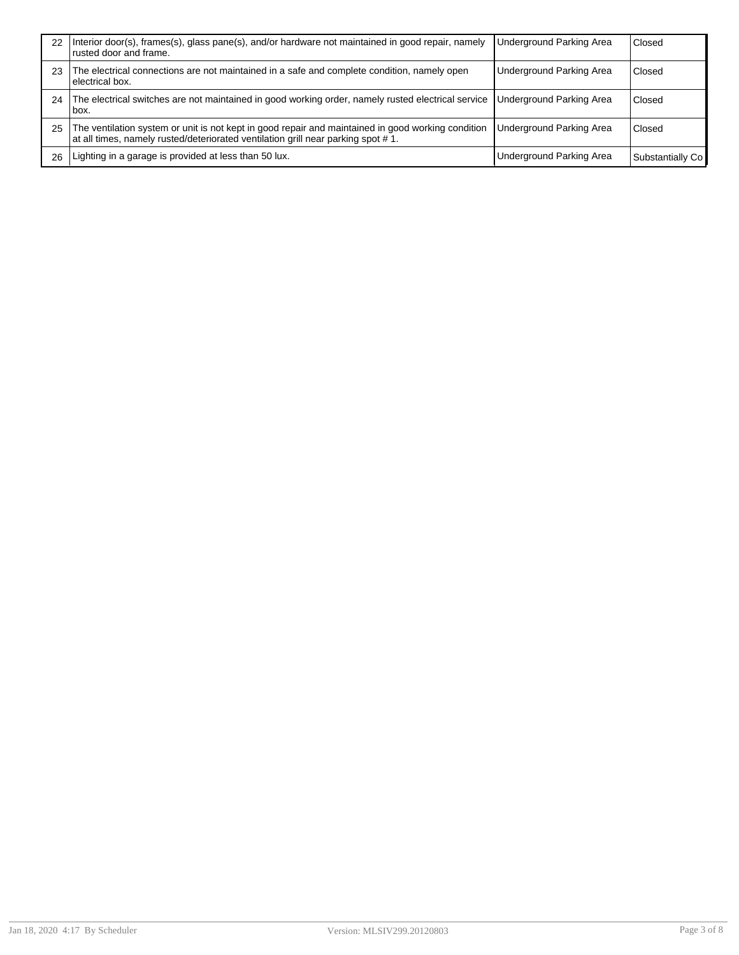| 22 | Interior door(s), frames(s), glass pane(s), and/or hardware not maintained in good repair, namely<br>rusted door and frame.                                                            | <b>Underground Parking Area</b> | Closed           |
|----|----------------------------------------------------------------------------------------------------------------------------------------------------------------------------------------|---------------------------------|------------------|
| 23 | The electrical connections are not maintained in a safe and complete condition, namely open<br>lelectrical box.                                                                        | <b>Underground Parking Area</b> | Closed           |
| 24 | The electrical switches are not maintained in good working order, namely rusted electrical service<br>lbox.                                                                            | <b>Underground Parking Area</b> | Closed           |
| 25 | The ventilation system or unit is not kept in good repair and maintained in good working condition<br>at all times, namely rusted/deteriorated ventilation grill near parking spot #1. | Underground Parking Area        | Closed           |
| 26 | Lighting in a garage is provided at less than 50 lux.                                                                                                                                  | Underground Parking Area        | Substantially Co |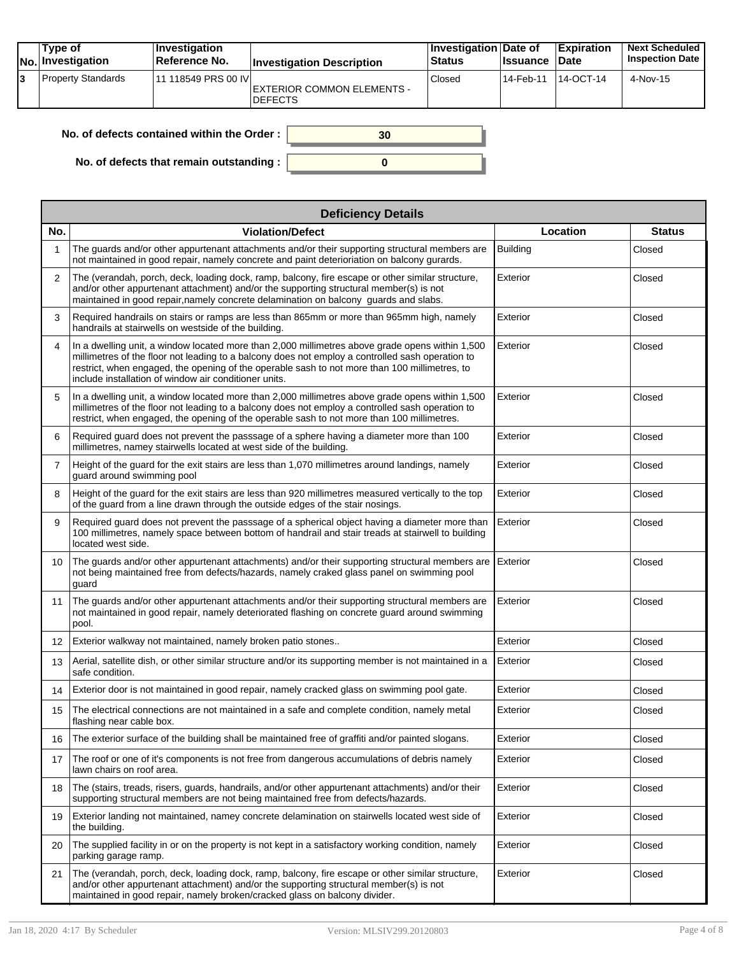| Type of<br>No. Investigation | ∣Investiqation<br>Reference No. | <b>Investigation Description</b>             | <b>Investigation Date of</b><br><b>Status</b> | <b>Issuance</b> | <b>Expiration</b><br>∣Date | <b>Next Scheduled</b><br><b>Inspection Date</b> |
|------------------------------|---------------------------------|----------------------------------------------|-----------------------------------------------|-----------------|----------------------------|-------------------------------------------------|
| <b>Property Standards</b>    | 11 118549 PRS 00 IVI            | EXTERIOR COMMON ELEMENTS -<br><b>DEFECTS</b> | Closed                                        | 14-Feb-11       | 14-OCT-14                  | 4-Nov-15                                        |

| No. of defects contained within the Order : $\vert$ |  |
|-----------------------------------------------------|--|
|                                                     |  |
| No. of defects that remain outstanding : $\vert$    |  |

|                | <b>Deficiency Details</b>                                                                                                                                                                                                                                                                                                                                     |                 |               |  |  |  |  |
|----------------|---------------------------------------------------------------------------------------------------------------------------------------------------------------------------------------------------------------------------------------------------------------------------------------------------------------------------------------------------------------|-----------------|---------------|--|--|--|--|
| No.            | <b>Violation/Defect</b>                                                                                                                                                                                                                                                                                                                                       | Location        | <b>Status</b> |  |  |  |  |
| 1              | The quards and/or other appurtenant attachments and/or their supporting structural members are<br>not maintained in good repair, namely concrete and paint deterioriation on balcony gurards.                                                                                                                                                                 | <b>Building</b> | Closed        |  |  |  |  |
| $\overline{2}$ | The (verandah, porch, deck, loading dock, ramp, balcony, fire escape or other similar structure,<br>and/or other appurtenant attachment) and/or the supporting structural member(s) is not<br>maintained in good repair, namely concrete delamination on balcony guards and slabs.                                                                            | Exterior        | Closed        |  |  |  |  |
| 3              | Required handrails on stairs or ramps are less than 865mm or more than 965mm high, namely<br>handrails at stairwells on westside of the building.                                                                                                                                                                                                             | Exterior        | Closed        |  |  |  |  |
| 4              | In a dwelling unit, a window located more than 2,000 millimetres above grade opens within 1,500<br>millimetres of the floor not leading to a balcony does not employ a controlled sash operation to<br>restrict, when engaged, the opening of the operable sash to not more than 100 millimetres, to<br>include installation of window air conditioner units. | Exterior        | Closed        |  |  |  |  |
| 5              | In a dwelling unit, a window located more than 2,000 millimetres above grade opens within 1,500<br>millimetres of the floor not leading to a balcony does not employ a controlled sash operation to<br>restrict, when engaged, the opening of the operable sash to not more than 100 millimetres.                                                             | Exterior        | Closed        |  |  |  |  |
| 6              | Required guard does not prevent the passsage of a sphere having a diameter more than 100<br>millimetres, namey stairwells located at west side of the building.                                                                                                                                                                                               | Exterior        | Closed        |  |  |  |  |
| $\overline{7}$ | Height of the guard for the exit stairs are less than 1,070 millimetres around landings, namely<br>guard around swimming pool                                                                                                                                                                                                                                 | Exterior        | Closed        |  |  |  |  |
| 8              | Height of the guard for the exit stairs are less than 920 millimetres measured vertically to the top<br>of the guard from a line drawn through the outside edges of the stair nosings.                                                                                                                                                                        | Exterior        | Closed        |  |  |  |  |
| 9              | Required guard does not prevent the passsage of a spherical object having a diameter more than<br>100 millimetres, namely space between bottom of handrail and stair treads at stairwell to building<br>located west side.                                                                                                                                    | Exterior        | Closed        |  |  |  |  |
| 10             | The guards and/or other appurtenant attachments) and/or their supporting structural members are<br>not being maintained free from defects/hazards, namely craked glass panel on swimming pool<br>guard                                                                                                                                                        | Exterior        | Closed        |  |  |  |  |
| 11             | The guards and/or other appurtenant attachments and/or their supporting structural members are<br>not maintained in good repair, namely deteriorated flashing on concrete guard around swimming<br>pool.                                                                                                                                                      | Exterior        | Closed        |  |  |  |  |
| 12             | Exterior walkway not maintained, namely broken patio stones                                                                                                                                                                                                                                                                                                   | Exterior        | Closed        |  |  |  |  |
| 13             | Aerial, satellite dish, or other similar structure and/or its supporting member is not maintained in a<br>safe condition.                                                                                                                                                                                                                                     | Exterior        | Closed        |  |  |  |  |
| 14             | Exterior door is not maintained in good repair, namely cracked glass on swimming pool gate.                                                                                                                                                                                                                                                                   | Exterior        | Closed        |  |  |  |  |
| 15             | The electrical connections are not maintained in a safe and complete condition, namely metal<br>flashing near cable box.                                                                                                                                                                                                                                      | Exterior        | Closed        |  |  |  |  |
| 16             | The exterior surface of the building shall be maintained free of graffiti and/or painted slogans.                                                                                                                                                                                                                                                             | Exterior        | Closed        |  |  |  |  |
| 17             | The roof or one of it's components is not free from dangerous accumulations of debris namely<br>lawn chairs on roof area.                                                                                                                                                                                                                                     | Exterior        | Closed        |  |  |  |  |
| 18             | The (stairs, treads, risers, guards, handrails, and/or other appurtenant attachments) and/or their<br>supporting structural members are not being maintained free from defects/hazards.                                                                                                                                                                       | Exterior        | Closed        |  |  |  |  |
| 19             | Exterior landing not maintained, namey concrete delamination on stairwells located west side of<br>the building.                                                                                                                                                                                                                                              | Exterior        | Closed        |  |  |  |  |
| 20             | The supplied facility in or on the property is not kept in a satisfactory working condition, namely<br>parking garage ramp.                                                                                                                                                                                                                                   | Exterior        | Closed        |  |  |  |  |
| 21             | The (verandah, porch, deck, loading dock, ramp, balcony, fire escape or other similar structure,<br>and/or other appurtenant attachment) and/or the supporting structural member(s) is not<br>maintained in good repair, namely broken/cracked glass on balcony divider.                                                                                      | Exterior        | Closed        |  |  |  |  |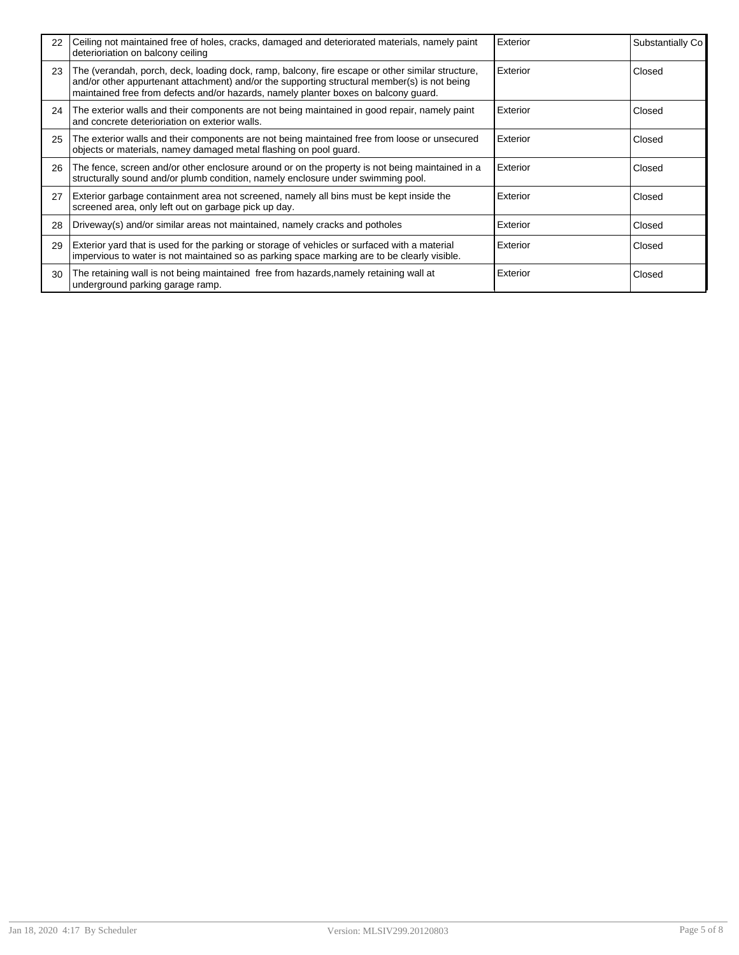| 22 | Ceiling not maintained free of holes, cracks, damaged and deteriorated materials, namely paint<br>deterioriation on balcony ceiling                                                                                                                                                     | Exterior | Substantially Co |
|----|-----------------------------------------------------------------------------------------------------------------------------------------------------------------------------------------------------------------------------------------------------------------------------------------|----------|------------------|
| 23 | The (verandah, porch, deck, loading dock, ramp, balcony, fire escape or other similar structure,<br>and/or other appurtenant attachment) and/or the supporting structural member(s) is not being<br>maintained free from defects and/or hazards, namely planter boxes on balcony guard. | Exterior | Closed           |
| 24 | The exterior walls and their components are not being maintained in good repair, namely paint<br>and concrete deterioriation on exterior walls.                                                                                                                                         | Exterior | Closed           |
| 25 | The exterior walls and their components are not being maintained free from loose or unsecured<br>objects or materials, namey damaged metal flashing on pool quard.                                                                                                                      | Exterior | Closed           |
| 26 | The fence, screen and/or other enclosure around or on the property is not being maintained in a<br>structurally sound and/or plumb condition, namely enclosure under swimming pool.                                                                                                     | Exterior | Closed           |
| 27 | Exterior garbage containment area not screened, namely all bins must be kept inside the<br>screened area, only left out on garbage pick up day.                                                                                                                                         | Exterior | Closed           |
| 28 | Driveway(s) and/or similar areas not maintained, namely cracks and potholes                                                                                                                                                                                                             | Exterior | Closed           |
| 29 | Exterior yard that is used for the parking or storage of vehicles or surfaced with a material<br>impervious to water is not maintained so as parking space marking are to be clearly visible.                                                                                           | Exterior | Closed           |
| 30 | The retaining wall is not being maintained free from hazards, namely retaining wall at<br>underground parking garage ramp.                                                                                                                                                              | Exterior | Closed           |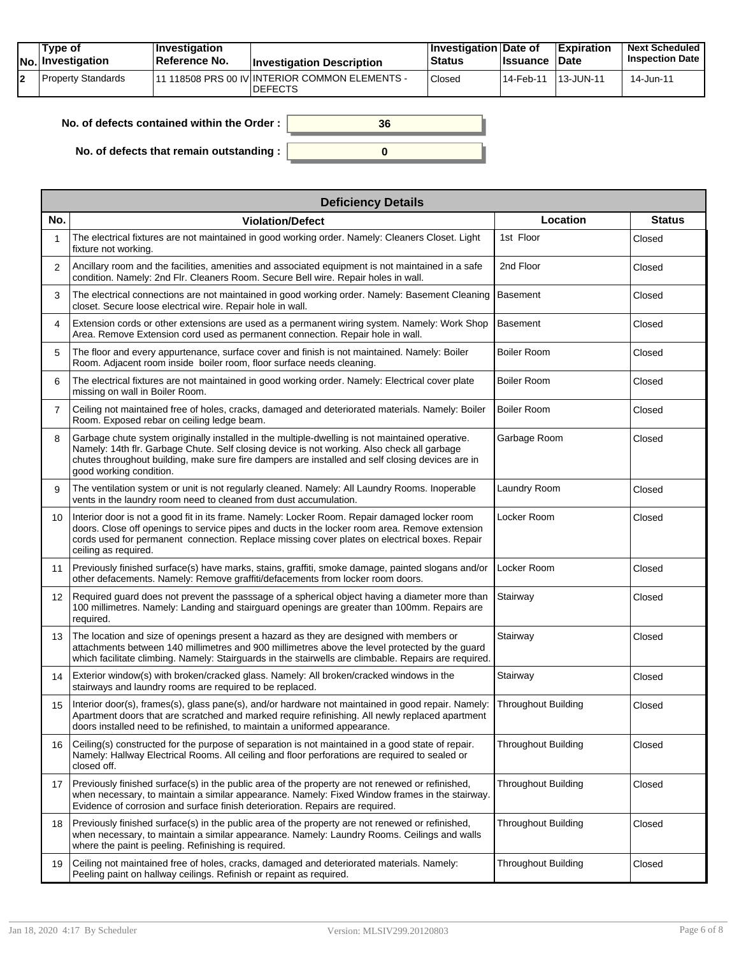| Tvpe of<br>No. Investigation | $\blacksquare$ Investigation<br>⊺Reference No. | <b>Investigation Description</b>                                  | <b>Investigation Date of</b><br>Status | <b>Issuance Date</b> | <b>Expiration</b> | <b>Next Scheduled</b><br><b>Inspection Date</b> |
|------------------------------|------------------------------------------------|-------------------------------------------------------------------|----------------------------------------|----------------------|-------------------|-------------------------------------------------|
| Property Standards           |                                                | 111 118508 PRS 00 IV INTERIOR COMMON ELEMENTS -<br><b>DEFECTS</b> | Closed                                 | l 14-Feb-11          | 113-JUN-11        | 14-Jun-11                                       |

| No. of defects contained within the Order: | 36 |
|--------------------------------------------|----|
| No. of defects that remain outstanding :   |    |

|                   | <b>Deficiency Details</b>                                                                                                                                                                                                                                                                                                     |                            |               |  |  |  |  |  |
|-------------------|-------------------------------------------------------------------------------------------------------------------------------------------------------------------------------------------------------------------------------------------------------------------------------------------------------------------------------|----------------------------|---------------|--|--|--|--|--|
| No.               | <b>Violation/Defect</b>                                                                                                                                                                                                                                                                                                       | Location                   | <b>Status</b> |  |  |  |  |  |
| 1                 | The electrical fixtures are not maintained in good working order. Namely: Cleaners Closet. Light<br>fixture not working.                                                                                                                                                                                                      | 1st Floor                  | Closed        |  |  |  |  |  |
| $\overline{2}$    | Ancillary room and the facilities, amenities and associated equipment is not maintained in a safe<br>condition. Namely: 2nd Flr. Cleaners Room. Secure Bell wire. Repair holes in wall.                                                                                                                                       | 2nd Floor                  | Closed        |  |  |  |  |  |
| 3                 | The electrical connections are not maintained in good working order. Namely: Basement Cleaning<br>closet. Secure loose electrical wire. Repair hole in wall.                                                                                                                                                                  | <b>Basement</b>            | Closed        |  |  |  |  |  |
| 4                 | Extension cords or other extensions are used as a permanent wiring system. Namely: Work Shop<br>Area. Remove Extension cord used as permanent connection. Repair hole in wall.                                                                                                                                                | <b>Basement</b>            | Closed        |  |  |  |  |  |
| 5                 | The floor and every appurtenance, surface cover and finish is not maintained. Namely: Boiler<br>Room. Adjacent room inside boiler room, floor surface needs cleaning.                                                                                                                                                         | <b>Boiler Room</b>         | Closed        |  |  |  |  |  |
| 6                 | The electrical fixtures are not maintained in good working order. Namely: Electrical cover plate<br>missing on wall in Boiler Room.                                                                                                                                                                                           | <b>Boiler Room</b>         | Closed        |  |  |  |  |  |
| $\overline{7}$    | Ceiling not maintained free of holes, cracks, damaged and deteriorated materials. Namely: Boiler<br>Room. Exposed rebar on ceiling ledge beam.                                                                                                                                                                                | <b>Boiler Room</b>         | Closed        |  |  |  |  |  |
| 8                 | Garbage chute system originally installed in the multiple-dwelling is not maintained operative.<br>Namely: 14th flr. Garbage Chute. Self closing device is not working. Also check all garbage<br>chutes throughout building, make sure fire dampers are installed and self closing devices are in<br>good working condition. | Garbage Room               | Closed        |  |  |  |  |  |
| 9                 | The ventilation system or unit is not regularly cleaned. Namely: All Laundry Rooms. Inoperable<br>vents in the laundry room need to cleaned from dust accumulation.                                                                                                                                                           | Laundry Room               | Closed        |  |  |  |  |  |
| 10                | Interior door is not a good fit in its frame. Namely: Locker Room. Repair damaged locker room<br>doors. Close off openings to service pipes and ducts in the locker room area. Remove extension<br>cords used for permanent connection. Replace missing cover plates on electrical boxes. Repair<br>ceiling as required.      | Locker Room                | Closed        |  |  |  |  |  |
| 11                | Previously finished surface(s) have marks, stains, graffiti, smoke damage, painted slogans and/or<br>other defacements. Namely: Remove graffiti/defacements from locker room doors.                                                                                                                                           | Locker Room                | Closed        |  |  |  |  |  |
| $12 \overline{ }$ | Required guard does not prevent the passsage of a spherical object having a diameter more than<br>100 millimetres. Namely: Landing and stairguard openings are greater than 100mm. Repairs are<br>required.                                                                                                                   | Stairway                   | Closed        |  |  |  |  |  |
| 13                | The location and size of openings present a hazard as they are designed with members or<br>attachments between 140 millimetres and 900 millimetres above the level protected by the guard<br>which facilitate climbing. Namely: Stairguards in the stairwells are climbable. Repairs are required.                            | Stairway                   | Closed        |  |  |  |  |  |
| 14                | Exterior window(s) with broken/cracked glass. Namely: All broken/cracked windows in the<br>stairways and laundry rooms are required to be replaced.                                                                                                                                                                           | Stairway                   | Closed        |  |  |  |  |  |
| 15                | Interior door(s), frames(s), glass pane(s), and/or hardware not maintained in good repair. Namely:<br>Apartment doors that are scratched and marked require refinishing. All newly replaced apartment<br>doors installed need to be refinished, to maintain a uniformed appearance.                                           | <b>Throughout Building</b> | Closed        |  |  |  |  |  |
| 16                | Ceiling(s) constructed for the purpose of separation is not maintained in a good state of repair.<br>Namely: Hallway Electrical Rooms. All ceiling and floor perforations are required to sealed or<br>closed off.                                                                                                            | <b>Throughout Building</b> | Closed        |  |  |  |  |  |
| 17                | Previously finished surface(s) in the public area of the property are not renewed or refinished,<br>when necessary, to maintain a similar appearance. Namely: Fixed Window frames in the stairway.<br>Evidence of corrosion and surface finish deterioration. Repairs are required.                                           | <b>Throughout Building</b> | Closed        |  |  |  |  |  |
| 18                | Previously finished surface(s) in the public area of the property are not renewed or refinished.<br>when necessary, to maintain a similar appearance. Namely: Laundry Rooms. Ceilings and walls<br>where the paint is peeling. Refinishing is required.                                                                       | <b>Throughout Building</b> | Closed        |  |  |  |  |  |
| 19                | Ceiling not maintained free of holes, cracks, damaged and deteriorated materials. Namely:<br>Peeling paint on hallway ceilings. Refinish or repaint as required.                                                                                                                                                              | <b>Throughout Building</b> | Closed        |  |  |  |  |  |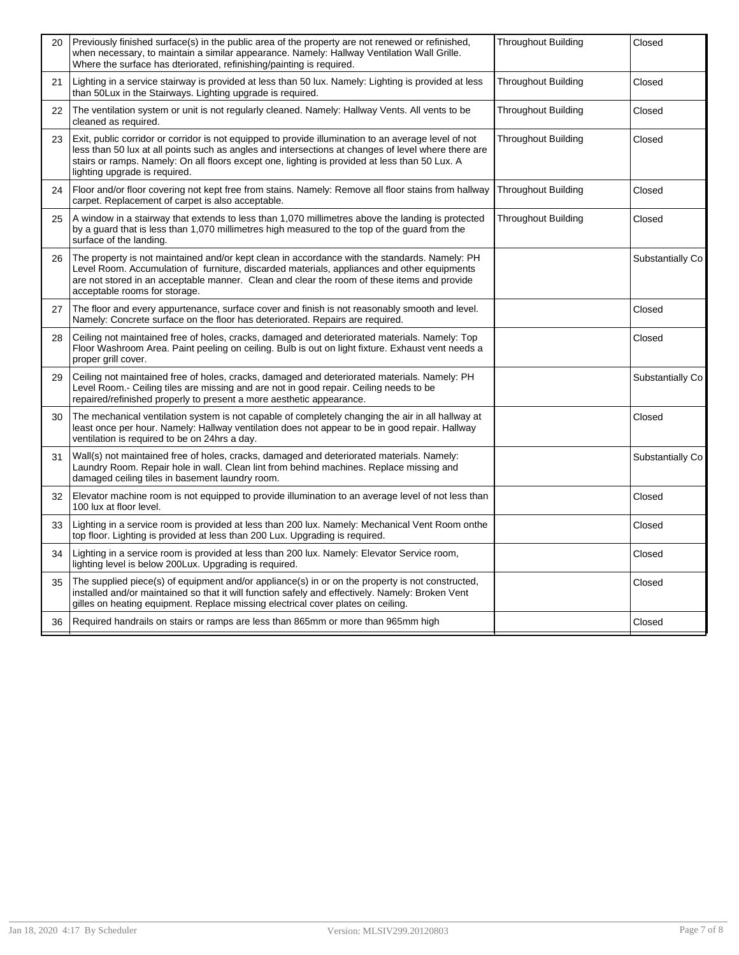| 20 | Previously finished surface(s) in the public area of the property are not renewed or refinished,<br>when necessary, to maintain a similar appearance. Namely: Hallway Ventilation Wall Grille.<br>Where the surface has dteriorated, refinishing/painting is required.                                                                         | <b>Throughout Building</b> | Closed           |
|----|------------------------------------------------------------------------------------------------------------------------------------------------------------------------------------------------------------------------------------------------------------------------------------------------------------------------------------------------|----------------------------|------------------|
| 21 | Lighting in a service stairway is provided at less than 50 lux. Namely: Lighting is provided at less<br>than 50Lux in the Stairways. Lighting upgrade is required.                                                                                                                                                                             | <b>Throughout Building</b> | Closed           |
| 22 | The ventilation system or unit is not regularly cleaned. Namely: Hallway Vents. All vents to be<br>cleaned as required.                                                                                                                                                                                                                        | <b>Throughout Building</b> | Closed           |
| 23 | Exit, public corridor or corridor is not equipped to provide illumination to an average level of not<br>less than 50 lux at all points such as angles and intersections at changes of level where there are<br>stairs or ramps. Namely: On all floors except one, lighting is provided at less than 50 Lux. A<br>lighting upgrade is required. | Throughout Building        | Closed           |
| 24 | Floor and/or floor covering not kept free from stains. Namely: Remove all floor stains from hallway<br>carpet. Replacement of carpet is also acceptable.                                                                                                                                                                                       | <b>Throughout Building</b> | Closed           |
| 25 | A window in a stairway that extends to less than 1,070 millimetres above the landing is protected<br>by a guard that is less than 1,070 millimetres high measured to the top of the guard from the<br>surface of the landing.                                                                                                                  | <b>Throughout Building</b> | Closed           |
| 26 | The property is not maintained and/or kept clean in accordance with the standards. Namely: PH<br>Level Room. Accumulation of furniture, discarded materials, appliances and other equipments<br>are not stored in an acceptable manner. Clean and clear the room of these items and provide<br>acceptable rooms for storage.                   |                            | Substantially Co |
| 27 | The floor and every appurtenance, surface cover and finish is not reasonably smooth and level.<br>Namely: Concrete surface on the floor has deteriorated. Repairs are required.                                                                                                                                                                |                            | Closed           |
| 28 | Ceiling not maintained free of holes, cracks, damaged and deteriorated materials. Namely: Top<br>Floor Washroom Area. Paint peeling on ceiling. Bulb is out on light fixture. Exhaust vent needs a<br>proper grill cover.                                                                                                                      |                            | Closed           |
| 29 | Ceiling not maintained free of holes, cracks, damaged and deteriorated materials. Namely: PH<br>Level Room.- Ceiling tiles are missing and are not in good repair. Ceiling needs to be<br>repaired/refinished properly to present a more aesthetic appearance.                                                                                 |                            | Substantially Co |
| 30 | The mechanical ventilation system is not capable of completely changing the air in all hallway at<br>least once per hour. Namely: Hallway ventilation does not appear to be in good repair. Hallway<br>ventilation is required to be on 24hrs a day.                                                                                           |                            | Closed           |
| 31 | Wall(s) not maintained free of holes, cracks, damaged and deteriorated materials. Namely:<br>Laundry Room. Repair hole in wall. Clean lint from behind machines. Replace missing and<br>damaged ceiling tiles in basement laundry room.                                                                                                        |                            | Substantially Co |
| 32 | Elevator machine room is not equipped to provide illumination to an average level of not less than<br>100 lux at floor level.                                                                                                                                                                                                                  |                            | Closed           |
| 33 | Lighting in a service room is provided at less than 200 lux. Namely: Mechanical Vent Room onthe<br>top floor. Lighting is provided at less than 200 Lux. Upgrading is required.                                                                                                                                                                |                            | Closed           |
| 34 | Lighting in a service room is provided at less than 200 lux. Namely: Elevator Service room,<br>lighting level is below 200Lux. Upgrading is required.                                                                                                                                                                                          |                            | Closed           |
| 35 | The supplied piece(s) of equipment and/or appliance(s) in or on the property is not constructed,<br>installed and/or maintained so that it will function safely and effectively. Namely: Broken Vent<br>gilles on heating equipment. Replace missing electrical cover plates on ceiling.                                                       |                            | Closed           |
| 36 | Required handrails on stairs or ramps are less than 865mm or more than 965mm high                                                                                                                                                                                                                                                              |                            | Closed           |